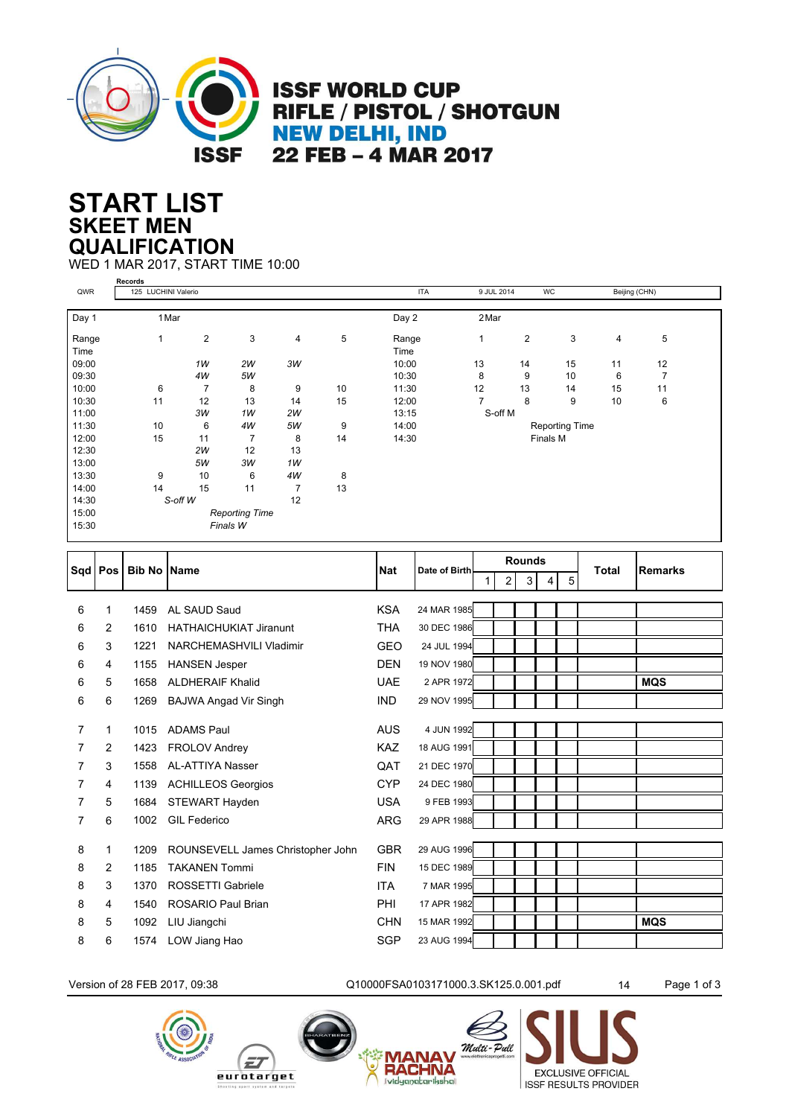

**ISSF WORLD CUP** RIFLE / PISTOL / SHOTGUN **NEW DELHI, IND** 22 FEB - 4 MAR 2017

## **SKEET MEN START LIST QUALIFICATION**

WED 1 MAR 2017, START TIME 10:00

|       | Records             |                |                       |                |    |            |                       |                |    |               |    |  |
|-------|---------------------|----------------|-----------------------|----------------|----|------------|-----------------------|----------------|----|---------------|----|--|
| QWR   | 125 LUCHINI Valerio |                |                       |                |    | <b>ITA</b> | 9 JUL 2014            |                | WC | Beijing (CHN) |    |  |
|       |                     |                |                       |                |    |            |                       |                |    |               |    |  |
| Day 1 | 1 Mar               |                |                       |                |    | Day 2      | 2 Mar                 |                |    |               |    |  |
| Range | 1                   | $\overline{c}$ | 3                     | 4              | 5  | Range      | 1                     | $\overline{2}$ | 3  | 4             | 5  |  |
| Time  |                     |                |                       |                |    | Time       |                       |                |    |               |    |  |
| 09:00 |                     | 1W             | 2W                    | 3W             |    | 10:00      | 13                    | 14             | 15 | 11            | 12 |  |
| 09:30 |                     | 4W             | 5W                    |                |    | 10:30      | 8                     | 9              | 10 | 6             | 7  |  |
| 10:00 | 6                   | $\overline{7}$ | 8                     | 9              | 10 | 11:30      | 12                    | 13             | 14 | 15            | 11 |  |
| 10:30 | 11                  | 12             | 13                    | 14             | 15 | 12:00      |                       | 8              | 9  | 10            | 6  |  |
| 11:00 |                     | 3W             | 1W                    | 2W             |    | 13:15      | S-off M               |                |    |               |    |  |
| 11:30 | 10                  | 6              | 4W                    | 5W             | 9  | 14:00      | <b>Reporting Time</b> |                |    |               |    |  |
| 12:00 | 15                  | 11             | $\overline{7}$        | 8              | 14 | 14:30      | Finals M              |                |    |               |    |  |
| 12:30 |                     | 2W             | 12                    | 13             |    |            |                       |                |    |               |    |  |
| 13:00 |                     | 5W             | ЗW                    | 1W             |    |            |                       |                |    |               |    |  |
| 13:30 | 9                   | 10             | 6                     | 4W             | 8  |            |                       |                |    |               |    |  |
| 14:00 | 14                  | 15             | 11                    | $\overline{7}$ | 13 |            |                       |                |    |               |    |  |
| 14:30 |                     | S-off W        |                       | 12             |    |            |                       |                |    |               |    |  |
| 15:00 |                     |                | <b>Reporting Time</b> |                |    |            |                       |                |    |               |    |  |
| 15:30 |                     |                | Finals W              |                |    |            |                       |                |    |               |    |  |
|       |                     |                |                       |                |    |            |                       |                |    |               |    |  |

| Sqd   Pos      |   | <b>Bib No Name</b> |                                   | <b>Nat</b> | Date of Birth |        | <b>Rounds</b> |   |   | <b>Total</b> | Remarks    |
|----------------|---|--------------------|-----------------------------------|------------|---------------|--------|---------------|---|---|--------------|------------|
|                |   |                    |                                   |            |               | 2<br>1 | 3             | 4 | 5 |              |            |
|                |   |                    |                                   |            |               |        |               |   |   |              |            |
| 6              | 1 | 1459               | AL SAUD Saud                      | <b>KSA</b> | 24 MAR 1985   |        |               |   |   |              |            |
| 6              | 2 | 1610               | <b>HATHAICHUKIAT Jiranunt</b>     | <b>THA</b> | 30 DEC 1986   |        |               |   |   |              |            |
| 6              | 3 | 1221               | NARCHEMASHVILI Vladimir           | <b>GEO</b> | 24 JUL 1994   |        |               |   |   |              |            |
| 6              | 4 | 1155               | <b>HANSEN Jesper</b>              | <b>DEN</b> | 19 NOV 1980   |        |               |   |   |              |            |
| 6              | 5 | 1658               | <b>ALDHERAIF Khalid</b>           | <b>UAE</b> | 2 APR 1972    |        |               |   |   |              | <b>MQS</b> |
| 6              | 6 | 1269               | <b>BAJWA Angad Vir Singh</b>      | <b>IND</b> | 29 NOV 1995   |        |               |   |   |              |            |
| $\overline{7}$ | 1 |                    | <b>ADAMS Paul</b>                 |            | 4 JUN 1992    |        |               |   |   |              |            |
|                |   | 1015               |                                   | <b>AUS</b> |               |        |               |   |   |              |            |
| 7              | 2 | 1423               | <b>FROLOV Andrey</b>              | <b>KAZ</b> | 18 AUG 1991   |        |               |   |   |              |            |
| 7              | 3 | 1558               | <b>AL-ATTIYA Nasser</b>           | QAT        | 21 DEC 1970   |        |               |   |   |              |            |
| 7              | 4 | 1139               | <b>ACHILLEOS Georgios</b>         | <b>CYP</b> | 24 DEC 1980   |        |               |   |   |              |            |
| 7              | 5 | 1684               | STEWART Hayden                    | <b>USA</b> | 9 FEB 1993    |        |               |   |   |              |            |
| 7              | 6 | 1002               | <b>GIL Federico</b>               | <b>ARG</b> | 29 APR 1988   |        |               |   |   |              |            |
|                |   |                    |                                   |            |               |        |               |   |   |              |            |
| 8              | 1 | 1209               | ROUNSEVELL James Christopher John | <b>GBR</b> | 29 AUG 1996   |        |               |   |   |              |            |
| 8              | 2 | 1185               | <b>TAKANEN Tommi</b>              | <b>FIN</b> | 15 DEC 1989   |        |               |   |   |              |            |
| 8              | 3 | 1370               | ROSSETTI Gabriele                 | <b>ITA</b> | 7 MAR 1995    |        |               |   |   |              |            |
| 8              | 4 | 1540               | <b>ROSARIO Paul Brian</b>         | <b>PHI</b> | 17 APR 1982   |        |               |   |   |              |            |
| 8              | 5 | 1092               | LIU Jiangchi                      | <b>CHN</b> | 15 MAR 1992   |        |               |   |   |              | <b>MQS</b> |
| 8              | 6 | 1574               | LOW Jiang Hao                     | <b>SGP</b> | 23 AUG 1994   |        |               |   |   |              |            |
|                |   |                    |                                   |            |               |        |               |   |   |              |            |

Version of 28 FEB 2017, 09:38 Q10000FSA0103171000.3.SK125.0.001.pdf 14 Page 1 of 3

**MA** 

**RACHNA** 





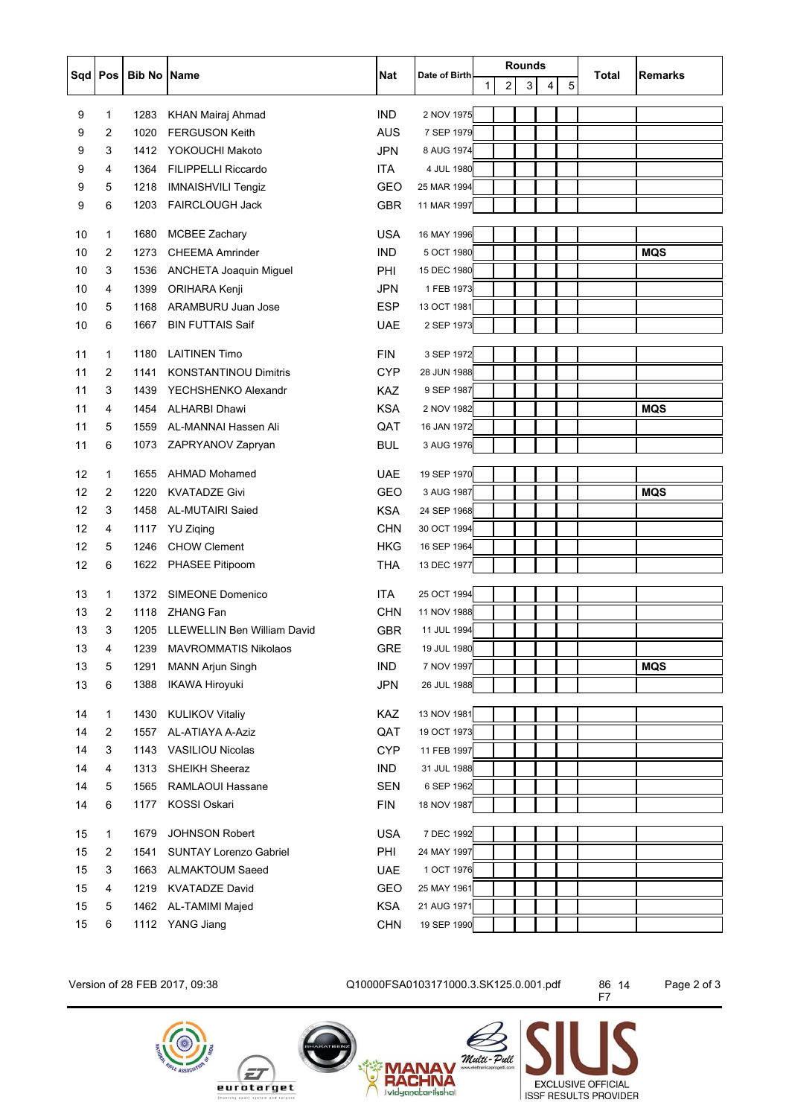| Sqd   Pos |        |              |                                                   |                   |               | <b>Rounds</b>       |   |                      |       |                |
|-----------|--------|--------------|---------------------------------------------------|-------------------|---------------|---------------------|---|----------------------|-------|----------------|
|           |        | Bib No Name  |                                                   | Nat               | Date of Birth | $\overline{2}$<br>1 | 3 | 5<br>$\vert 4 \vert$ | Total | <b>Remarks</b> |
|           |        |              |                                                   |                   | 2 NOV 1975    |                     |   |                      |       |                |
| 9         | 1      | 1283<br>1020 | <b>KHAN Mairaj Ahmad</b><br><b>FERGUSON Keith</b> | <b>IND</b><br>AUS | 7 SEP 1979    |                     |   |                      |       |                |
| 9         | 2      |              |                                                   |                   |               |                     |   |                      |       |                |
| 9         | 3      | 1412         | YOKOUCHI Makoto                                   | <b>JPN</b>        | 8 AUG 1974    |                     |   |                      |       |                |
| 9         | 4      | 1364         | <b>FILIPPELLI Riccardo</b>                        | <b>ITA</b>        | 4 JUL 1980    |                     |   |                      |       |                |
| 9         | 5      | 1218         | <b>IMNAISHVILI Tengiz</b>                         | <b>GEO</b>        | 25 MAR 1994   |                     |   |                      |       |                |
| 9         | 6      | 1203         | FAIRCLOUGH Jack                                   | GBR               | 11 MAR 1997   |                     |   |                      |       |                |
| 10        | 1      | 1680         | <b>MCBEE Zachary</b>                              | <b>USA</b>        | 16 MAY 1996   |                     |   |                      |       |                |
| 10        | 2      | 1273         | <b>CHEEMA Amrinder</b>                            | <b>IND</b>        | 5 OCT 1980    |                     |   |                      |       | <b>MQS</b>     |
| 10        | 3      | 1536         | ANCHETA Joaquin Miguel                            | PHI               | 15 DEC 1980   |                     |   |                      |       |                |
| 10        | 4      | 1399         | ORIHARA Kenji                                     | <b>JPN</b>        | 1 FEB 1973    |                     |   |                      |       |                |
| 10        | 5      | 1168         | ARAMBURU Juan Jose                                | <b>ESP</b>        | 13 OCT 1981   |                     |   |                      |       |                |
| 10        | 6      | 1667         | <b>BIN FUTTAIS Saif</b>                           | UAE               | 2 SEP 1973    |                     |   |                      |       |                |
|           |        |              |                                                   |                   |               |                     |   |                      |       |                |
| 11        | 1      | 1180         | <b>LAITINEN Timo</b>                              | <b>FIN</b>        | 3 SEP 1972    |                     |   |                      |       |                |
| 11        | 2      | 1141         | <b>KONSTANTINOU Dimitris</b>                      | <b>CYP</b>        | 28 JUN 1988   |                     |   |                      |       |                |
| 11        | 3      | 1439         | YECHSHENKO Alexandr                               | <b>KAZ</b>        | 9 SEP 1987    |                     |   |                      |       |                |
| 11        | 4      | 1454         | <b>ALHARBI Dhawi</b>                              | <b>KSA</b>        | 2 NOV 1982    |                     |   |                      |       | <b>MQS</b>     |
| 11        | 5      | 1559         | AL-MANNAI Hassen Ali                              | QAT               | 16 JAN 1972   |                     |   |                      |       |                |
| 11        | 6      | 1073         | ZAPRYANOV Zapryan                                 | <b>BUL</b>        | 3 AUG 1976    |                     |   |                      |       |                |
| 12        | 1      | 1655         | <b>AHMAD Mohamed</b>                              | <b>UAE</b>        | 19 SEP 1970   |                     |   |                      |       |                |
| 12        | 2      | 1220         | <b>KVATADZE Givi</b>                              | <b>GEO</b>        | 3 AUG 1987    |                     |   |                      |       | <b>MQS</b>     |
| 12        | 3      | 1458         | AL-MUTAIRI Saied                                  | <b>KSA</b>        | 24 SEP 1968   |                     |   |                      |       |                |
| 12        | 4      | 1117         | <b>YU Ziqing</b>                                  | <b>CHN</b>        | 30 OCT 1994   |                     |   |                      |       |                |
| 12        | 5      | 1246         | <b>CHOW Clement</b>                               | <b>HKG</b>        | 16 SEP 1964   |                     |   |                      |       |                |
| 12        | 6      | 1622         | PHASEE Pitipoom                                   | <b>THA</b>        | 13 DEC 1977   |                     |   |                      |       |                |
| 13        | 1      | 1372         | SIMEONE Domenico                                  | <b>ITA</b>        | 25 OCT 1994   |                     |   |                      |       |                |
| 13        | 2      | 1118         | <b>ZHANG Fan</b>                                  | <b>CHN</b>        | 11 NOV 1988   |                     |   |                      |       |                |
| 13        | 3      | 1205         | <b>LLEWELLIN Ben William David</b>                | <b>GBR</b>        | 11 JUL 1994   |                     |   |                      |       |                |
| 13        |        |              | 1239 MAVROMMATIS Nikolaos                         | GRE               | 19 JUL 1980   |                     |   |                      |       |                |
|           | 4      |              | <b>MANN Arjun Singh</b>                           | <b>IND</b>        | 7 NOV 1997    |                     |   |                      |       |                |
| 13<br>13  | 5<br>6 | 1291<br>1388 |                                                   | <b>JPN</b>        | 26 JUL 1988   |                     |   |                      |       | <b>MQS</b>     |
|           |        |              | <b>IKAWA Hiroyuki</b>                             |                   |               |                     |   |                      |       |                |
| 14        | 1      | 1430         | <b>KULIKOV Vitaliy</b>                            | KAZ               | 13 NOV 1981   |                     |   |                      |       |                |
| 14        | 2      | 1557         | AL-ATIAYA A-Aziz                                  | QAT               | 19 OCT 1973   |                     |   |                      |       |                |
| 14        | 3      | 1143         | <b>VASILIOU Nicolas</b>                           | <b>CYP</b>        | 11 FEB 1997   |                     |   |                      |       |                |
| 14        | 4      | 1313         | SHEIKH Sheeraz                                    | <b>IND</b>        | 31 JUL 1988   |                     |   |                      |       |                |
| 14        | 5      | 1565         | RAMLAOUI Hassane                                  | <b>SEN</b>        | 6 SEP 1962    |                     |   |                      |       |                |
| 14        | 6      | 1177         | KOSSI Oskari                                      | <b>FIN</b>        | 18 NOV 1987   |                     |   |                      |       |                |
| 15        | 1      | 1679         | JOHNSON Robert                                    | <b>USA</b>        | 7 DEC 1992    |                     |   |                      |       |                |
| 15        | 2      | 1541         | <b>SUNTAY Lorenzo Gabriel</b>                     | PHI               | 24 MAY 1997   |                     |   |                      |       |                |
| 15        | 3      | 1663         | <b>ALMAKTOUM Saeed</b>                            | <b>UAE</b>        | 1 OCT 1976    |                     |   |                      |       |                |
| 15        | 4      | 1219         | <b>KVATADZE David</b>                             | GEO               | 25 MAY 1961   |                     |   |                      |       |                |
| 15        | 5      | 1462         | AL-TAMIMI Majed                                   | <b>KSA</b>        | 21 AUG 1971   |                     |   |                      |       |                |
| 15        | 6      |              | 1112 YANG Jiang                                   | <b>CHN</b>        | 19 SEP 1990   |                     |   |                      |       |                |
|           |        |              |                                                   |                   |               |                     |   |                      |       |                |

Version of 28 FEB 2017, 09:38 Q10000FSA0103171000.3.SK125.0.001.pdf 86 14 Page 2 of 3







86 14<br>F7